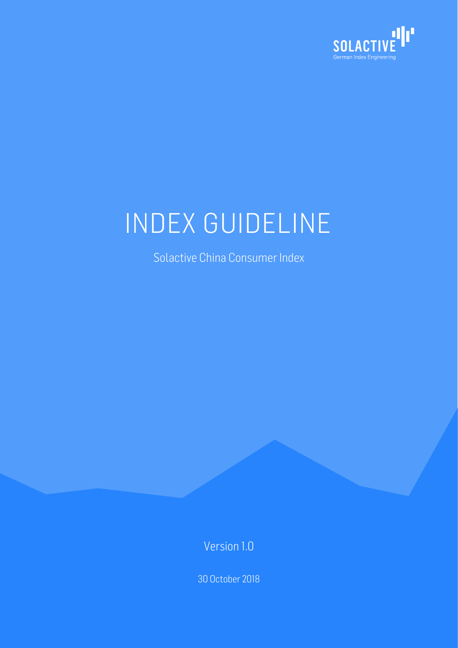

# INDEX GUIDELINE

Solactive China Consumer Index

Version 1.0

30 October 2018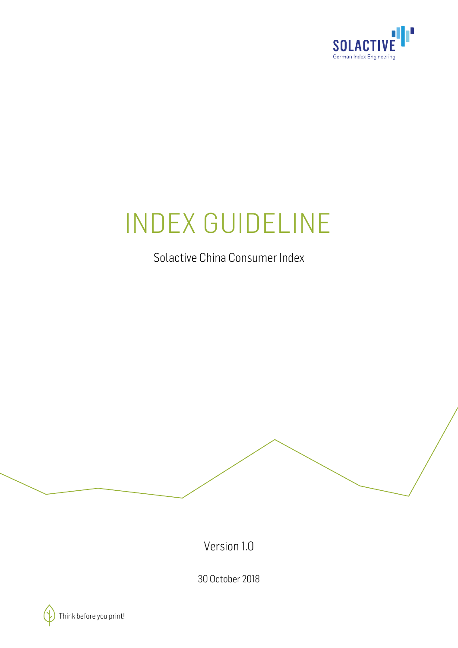

# INDEX GUIDELINE

Solactive China Consumer Index

Version 1.0

30 October 2018

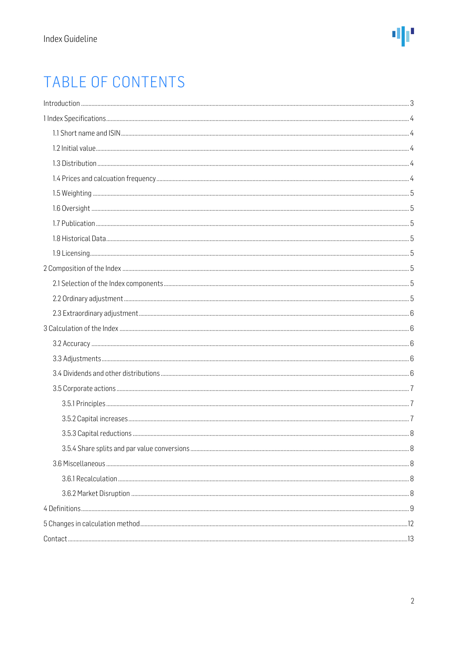# TABLE OF CONTENTS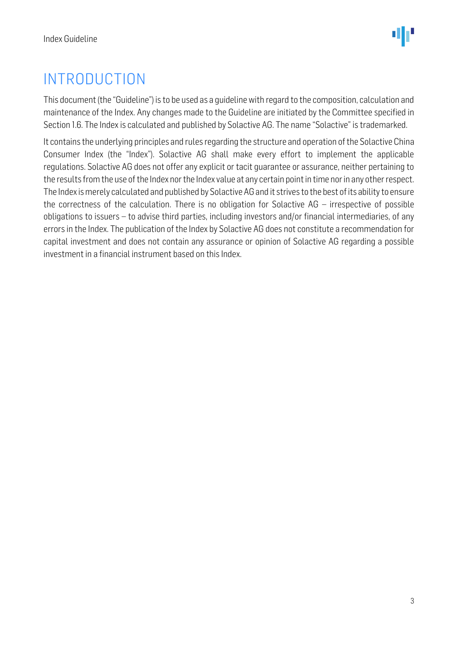# <span id="page-3-0"></span>INTRODUCTION

This document (the "Guideline") is to be used as a guideline with regard to the composition, calculation and maintenance of the Index. Any changes made to the Guideline are initiated by the Committee specified in Section 1.6. The Index is calculated and published by Solactive AG. The name "Solactive" is trademarked.

It contains the underlying principles and rules regarding the structure and operation of the Solactive China Consumer Index (the "Index"). Solactive AG shall make every effort to implement the applicable regulations. Solactive AG does not offer any explicit or tacit guarantee or assurance, neither pertaining to the results from the use of the Index nor the Index value at any certain point in time nor in any other respect. The Index is merely calculated and published by Solactive AG and it strives to the best of its ability to ensure the correctness of the calculation. There is no obligation for Solactive AG – irrespective of possible obligations to issuers – to advise third parties, including investors and/or financial intermediaries, of any errors in the Index. The publication of the Index by Solactive AG does not constitute a recommendation for capital investment and does not contain any assurance or opinion of Solactive AG regarding a possible investment in a financial instrument based on this Index.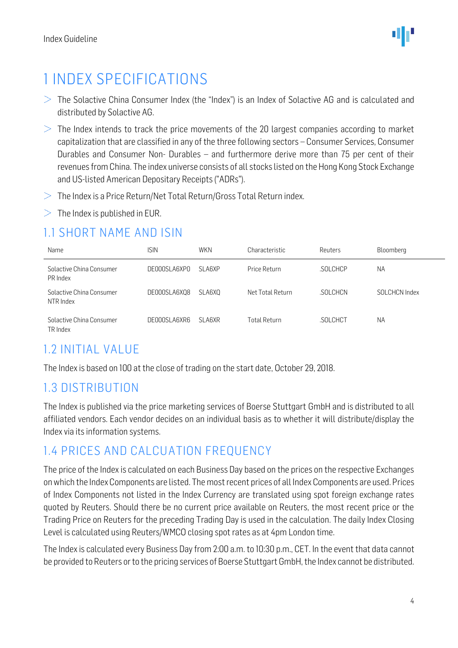# <span id="page-4-0"></span>1 INDEX SPECIFICATIONS

- $>$  The Solactive China Consumer Index (the "Index") is an Index of Solactive AG and is calculated and distributed by Solactive AG.
- $>$  The Index intends to track the price movements of the 20 largest companies according to market capitalization that are classified in any of the three following sectors – Consumer Services, Consumer Durables and Consumer Non- Durables – and furthermore derive more than 75 per cent of their revenues from China. The index universe consists of all stocks listed on the Hong Kong Stock Exchange and US-listed American Depositary Receipts ("ADRs").
- $>$  The Index is a Price Return/Net Total Return/Gross Total Return index.
- $>$  The Index is published in EUR.

### <span id="page-4-1"></span>1.1 SHORT NAME AND ISIN

| Name                                  | isin         | <b>WKN</b>    | Characteristic   | Reuters  | Bloomberg     |
|---------------------------------------|--------------|---------------|------------------|----------|---------------|
| Solactive China Consumer<br>PR Index  | DE000SLA6XPO | <b>SLA6XP</b> | Price Return     | SOLCHCP  | <b>NA</b>     |
| Solactive China Consumer<br>NTR Index | DE000SLA6XQ8 | SLA6XO        | Net Total Return | SOLCHCN. | SOLCHCN Index |
| Solactive China Consumer<br>TR Index  | DE000SLA6XR6 | <b>SLA6XR</b> | Total Return     | SOLCHCT  | <b>NA</b>     |

### <span id="page-4-2"></span>1.2 INITIAL VALUE

The Index is based on 100 at the close of trading on the start date, October 29, 2018.

### <span id="page-4-3"></span>1.3 DISTRIBUTION

The Index is published via the price marketing services of Boerse Stuttgart GmbH and is distributed to all affiliated vendors. Each vendor decides on an individual basis as to whether it will distribute/display the Index via its information systems.

### <span id="page-4-4"></span>1.4 PRICES AND CALCUATION FREQUENCY

The price of the Index is calculated on each Business Day based on the prices on the respective Exchanges on which the Index Components are listed. The most recent prices of all Index Components are used. Prices of Index Components not listed in the Index Currency are translated using spot foreign exchange rates quoted by Reuters. Should there be no current price available on Reuters, the most recent price or the Trading Price on Reuters for the preceding Trading Day is used in the calculation. The daily Index Closing Level is calculated using Reuters/WMCO closing spot rates as at 4pm London time.

The Index is calculated every Business Day from 2:00 a.m. to 10:30 p.m., CET. In the event that data cannot be provided to Reuters or to the pricing services of Boerse Stuttgart GmbH, the Index cannot be distributed.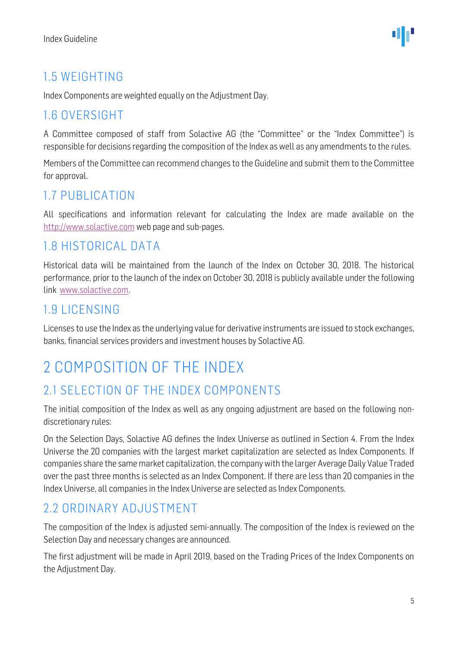## <span id="page-5-0"></span>1.5 WEIGHTING

Index Components are weighted equally on the Adjustment Day.

### <span id="page-5-1"></span>1.6 OVERSIGHT

A Committee composed of staff from Solactive AG (the "Committee" or the "Index Committee") is responsible for decisions regarding the composition of the Index as well as any amendments to the rules.

Members of the Committee can recommend changes to the Guideline and submit them to the Committee for approval.

### <span id="page-5-2"></span>1.7 PUBLICATION

All specifications and information relevant for calculating the Index are made available on the [http://www.solactive.com](http://www.solactive.com/) web page and sub-pages.

### <span id="page-5-3"></span>1.8 HISTORICAL DATA

Historical data will be maintained from the launch of the Index on October 30, 2018. The historical performance, prior to the launch of the index on October 30, 2018 is publicly available under the following link [www.solactive.com.](http://www.solactive.com/)

### <span id="page-5-4"></span>1.9 LICENSING

Licenses to use the Index as the underlying value for derivative instruments are issued to stock exchanges, banks, financial services providers and investment houses by Solactive AG.

# <span id="page-5-5"></span>2 COMPOSITION OF THE INDEX

### <span id="page-5-6"></span>2.1 SELECTION OF THE INDEX COMPONENTS

The initial composition of the Index as well as any ongoing adjustment are based on the following nondiscretionary rules:

On the Selection Days, Solactive AG defines the Index Universe as outlined in Section 4. From the Index Universe the 20 companies with the largest market capitalization are selected as Index Components. If companies share the same market capitalization, the company with the larger Average Daily Value Traded over the past three months is selected as an Index Component. If there are less than 20 companies in the Index Universe, all companies in the Index Universe are selected as Index Components.

### <span id="page-5-7"></span>2.2 ORDINARY ADJUSTMENT

The composition of the Index is adjusted semi-annually. The composition of the Index is reviewed on the Selection Day and necessary changes are announced.

The first adjustment will be made in April 2019, based on the Trading Prices of the Index Components on the Adjustment Day.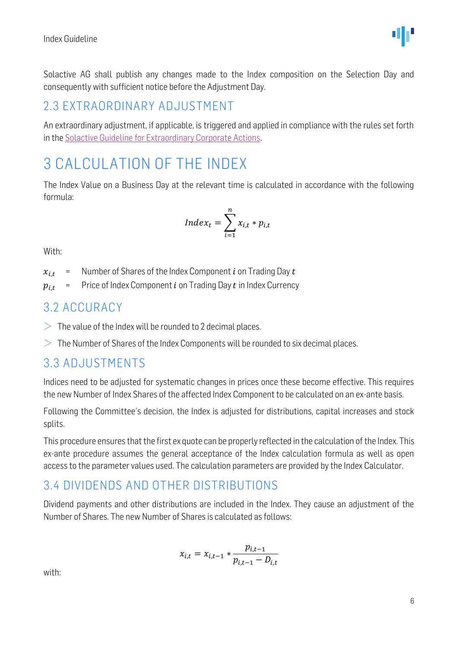Solactive AG shall publish any changes made to the Index composition on the Selection Day and consequently with sufficient notice before the Adjustment Day.

### <span id="page-6-0"></span>2.3 EXTRAORDINARY ADJUSTMENT

An extraordinary adjustment, if applicable, is triggered and applied in compliance with the rules set forth in th[e Solactive Guideline for Extraordinary Corporate Actions.](http://www.solactive.com/news/documents/)

# <span id="page-6-1"></span>3 CALCULATION OF THE INDEX

The Index Value on a Business Day at the relevant time is calculated in accordance with the following formula:

$$
Index_t = \sum_{i=1}^{n} x_{i,t} * p_{i,t}
$$

With:

 $x_{i,t}$  = Number of Shares of the Index Component *i* on Trading Day *t* 

 $p_{i,t}$  = Price of Index Component *i* on Trading Day *t* in Index Currency

#### <span id="page-6-2"></span>3.2 ACCURACY

- $>$  The value of the Index will be rounded to 2 decimal places.
- $>$  The Number of Shares of the Index Components will be rounded to six decimal places.

#### <span id="page-6-3"></span>3.3 ADJUSTMENTS

Indices need to be adjusted for systematic changes in prices once these become effective. This requires the new Number of Index Shares of the affected Index Component to be calculated on an ex-ante basis.

Following the Committee's decision, the Index is adjusted for distributions, capital increases and stock splits.

This procedure ensures that the first ex quote can be properly reflected in the calculation of the Index. This ex-ante procedure assumes the general acceptance of the Index calculation formula as well as open access to the parameter values used. The calculation parameters are provided by the Index Calculator.

### <span id="page-6-4"></span>3.4 DIVIDENDS AND OTHER DISTRIBUTIONS

Dividend payments and other distributions are included in the Index. They cause an adjustment of the Number of Shares. The new Number of Shares is calculated as follows:

$$
x_{i,t} = x_{i,t-1} * \frac{p_{i,t-1}}{p_{i,t-1} - D_{i,t}}
$$

with:

dμ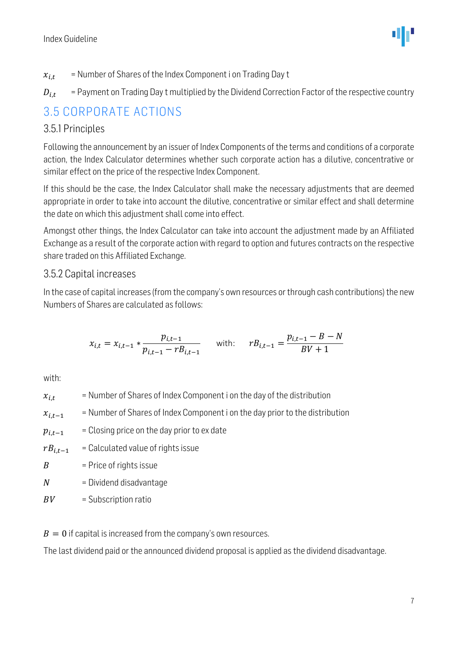$$
\Psi^{\prime}
$$

- $x_{i,t}$  = Number of Shares of the Index Component i on Trading Day t
- $D_{i,t}$  = Payment on Trading Day t multiplied by the Dividend Correction Factor of the respective country

## <span id="page-7-0"></span>3.5 CORPORATE ACTIONS

#### <span id="page-7-1"></span>3.5.1 Principles

Following the announcement by an issuer of Index Components of the terms and conditions of a corporate action, the Index Calculator determines whether such corporate action has a dilutive, concentrative or similar effect on the price of the respective Index Component.

If this should be the case, the Index Calculator shall make the necessary adjustments that are deemed appropriate in order to take into account the dilutive, concentrative or similar effect and shall determine the date on which this adjustment shall come into effect.

Amongst other things, the Index Calculator can take into account the adjustment made by an Affiliated Exchange as a result of the corporate action with regard to option and futures contracts on the respective share traded on this Affiliated Exchange.

#### <span id="page-7-2"></span>3.5.2 Capital increases

In the case of capital increases (from the company's own resources or through cash contributions) the new Numbers of Shares are calculated as follows:

$$
x_{i,t} = x_{i,t-1} * \frac{p_{i,t-1}}{p_{i,t-1} - rB_{i,t-1}} \quad \text{with:} \quad rB_{i,t-1} = \frac{p_{i,t-1} - B - N}{BV + 1}
$$

with:

- $x_{i,t}$  = Number of Shares of Index Component i on the day of the distribution
- $x_{i,t-1}$  = Number of Shares of Index Component i on the day prior to the distribution
- $p_{i,t-1}$  = Closing price on the day prior to ex date
- $rB_{i,t-1}$  = Calculated value of rights issue
- $B =$  Price of rights issue
- $N =$  Dividend disadvantage
- $BV =$  Subscription ratio

 $B = 0$  if capital is increased from the company's own resources.

The last dividend paid or the announced dividend proposal is applied as the dividend disadvantage.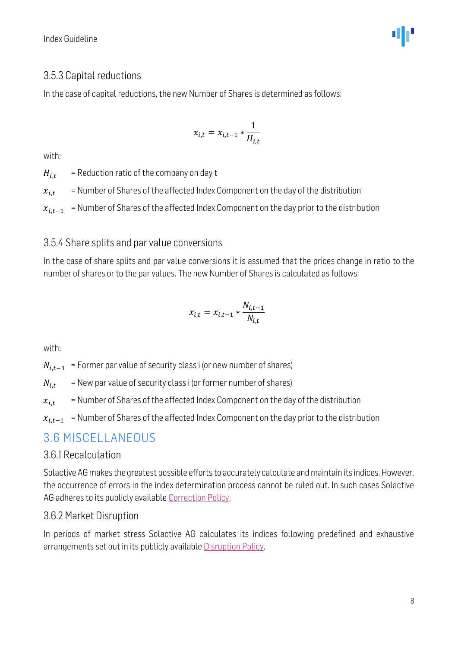#### <span id="page-8-0"></span>3.5.3 Capital reductions

In the case of capital reductions, the new Number of Shares is determined as follows:

$$
x_{i,t} = x_{i,t-1} * \frac{1}{H_{i,t}}
$$

with:

 $H_{i,t}$  = Reduction ratio of the company on day t

 $x_{i,t}$  = Number of Shares of the affected Index Component on the day of the distribution

 $x_{i,t-1}$  = Number of Shares of the affected Index Component on the day prior to the distribution

#### <span id="page-8-1"></span>3.5.4 Share splits and par value conversions

In the case of share splits and par value conversions it is assumed that the prices change in ratio to the number of shares or to the par values. The new Number of Shares is calculated as follows:

$$
x_{i,t} = x_{i,t-1} * \frac{N_{i,t-1}}{N_{i,t}}
$$

with:

 $N_{i,t-1}$  = Former par value of security class i (or new number of shares)

 $N_{i,t}$  = New par value of security class i (or former number of shares)

 $x_{i,t}$  = Number of Shares of the affected Index Component on the day of the distribution

 $x_{i,t-1}$  = Number of Shares of the affected Index Component on the day prior to the distribution

### <span id="page-8-2"></span>3.6 MISCELLANEOUS

#### <span id="page-8-3"></span>3.6.1 Recalculation

Solactive AG makes the greatest possible efforts to accurately calculate and maintain its indices. However, the occurrence of errors in the index determination process cannot be ruled out. In such cases Solactive AG adheres to its publicly available [Correction Policy.](http://www.solactive.com/news/documents/)

#### <span id="page-8-4"></span>3.6.2 Market Disruption

In periods of market stress Solactive AG calculates its indices following predefined and exhaustive arrangements set out in its publicly available [Disruption Policy.](http://www.solactive.com/news/documents/)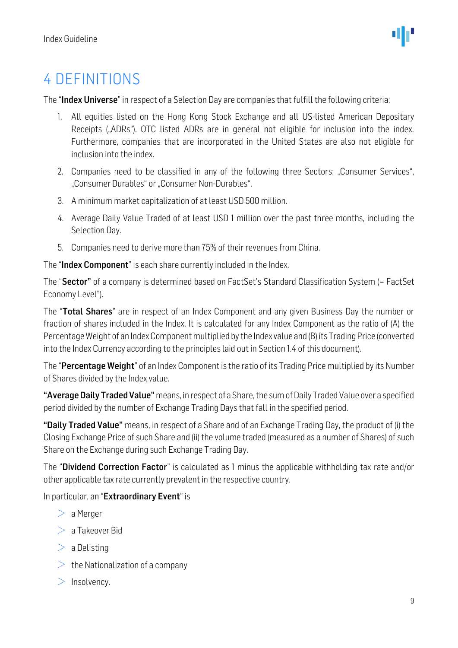# <span id="page-9-0"></span>4 DEFINITIONS

The "Index Universe" in respect of a Selection Day are companies that fulfill the following criteria:

- 1. All equities listed on the Hong Kong Stock Exchange and all US-listed American Depositary Receipts ("ADRs"). OTC listed ADRs are in general not eligible for inclusion into the index. Furthermore, companies that are incorporated in the United States are also not eligible for inclusion into the index.
- 2. Companies need to be classified in any of the following three Sectors: "Consumer Services", "Consumer Durables" or "Consumer Non-Durables".
- 3. A minimum market capitalization of at least USD 500 million.
- 4. Average Daily Value Traded of at least USD 1 million over the past three months, including the Selection Day.
- 5. Companies need to derive more than 75% of their revenues from China.

The "Index Component" is each share currently included in the Index.

The "Sector" of a company is determined based on FactSet's Standard Classification System (= FactSet Economy Level").

The "Total Shares" are in respect of an Index Component and any given Business Day the number or fraction of shares included in the Index. It is calculated for any Index Component as the ratio of (A) the Percentage Weight of an Index Component multiplied by the Index value and (B) its Trading Price (converted into the Index Currency according to the principles laid out in Section 1.4 of this document).

The "Percentage Weight" of an Index Component is the ratio of its Trading Price multiplied by its Number of Shares divided by the Index value.

"Average Daily Traded Value" means, in respect of a Share, the sum of Daily Traded Value over a specified period divided by the number of Exchange Trading Days that fall in the specified period.

"Daily Traded Value" means, in respect of a Share and of an Exchange Trading Day, the product of (i) the Closing Exchange Price of such Share and (ii) the volume traded (measured as a number of Shares) of such Share on the Exchange during such Exchange Trading Day.

The "**Dividend Correction Factor**" is calculated as 1 minus the applicable withholding tax rate and/or other applicable tax rate currently prevalent in the respective country.

In particular, an "Extraordinary Event" is

- $> a$  Merger
- $> a$  Takeover Bid
- $> a$  Delisting
- $\geq$  the Nationalization of a company
- $>$  Insolvency.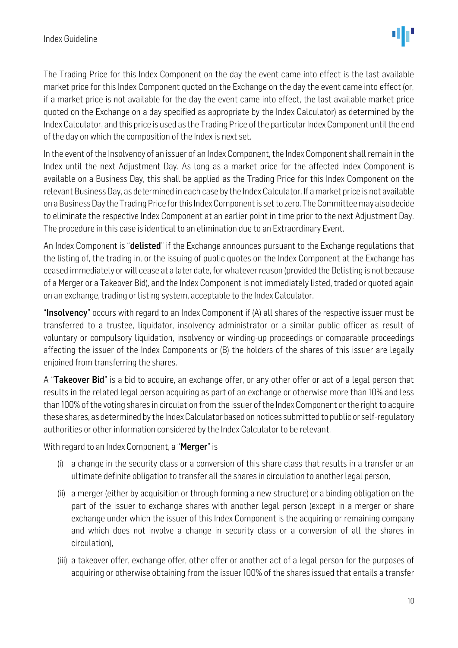The Trading Price for this Index Component on the day the event came into effect is the last available market price for this Index Component quoted on the Exchange on the day the event came into effect (or, if a market price is not available for the day the event came into effect, the last available market price quoted on the Exchange on a day specified as appropriate by the Index Calculator) as determined by the Index Calculator, and this price is used as the Trading Price of the particular Index Component until the end of the day on which the composition of the Index is next set.

In the event of the Insolvency of an issuer of an Index Component, the Index Component shall remain in the Index until the next Adjustment Day. As long as a market price for the affected Index Component is available on a Business Day, this shall be applied as the Trading Price for this Index Component on the relevant Business Day, as determined in each case by the Index Calculator. If a market price is not available on a Business Day the Trading Price for this Index Component is set to zero. The Committee may also decide to eliminate the respective Index Component at an earlier point in time prior to the next Adjustment Day. The procedure in this case is identical to an elimination due to an Extraordinary Event.

An Index Component is "**delisted**" if the Exchange announces pursuant to the Exchange regulations that the listing of, the trading in, or the issuing of public quotes on the Index Component at the Exchange has ceased immediately or will cease at a later date, for whatever reason (provided the Delisting is not because of a Merger or a Takeover Bid), and the Index Component is not immediately listed, traded or quoted again on an exchange, trading or listing system, acceptable to the Index Calculator.

"Insolvency" occurs with regard to an Index Component if (A) all shares of the respective issuer must be transferred to a trustee, liquidator, insolvency administrator or a similar public officer as result of voluntary or compulsory liquidation, insolvency or winding-up proceedings or comparable proceedings affecting the issuer of the Index Components or (B) the holders of the shares of this issuer are legally enjoined from transferring the shares.

A "Takeover Bid" is a bid to acquire, an exchange offer, or any other offer or act of a legal person that results in the related legal person acquiring as part of an exchange or otherwise more than 10% and less than 100% of the voting shares in circulation from the issuer of the Index Component or the right to acquire these shares, as determined by the Index Calculator based on notices submitted to public or self-regulatory authorities or other information considered by the Index Calculator to be relevant.

With regard to an Index Component, a "**Merger**" is

- (i) a change in the security class or a conversion of this share class that results in a transfer or an ultimate definite obligation to transfer all the shares in circulation to another legal person,
- (ii) a merger (either by acquisition or through forming a new structure) or a binding obligation on the part of the issuer to exchange shares with another legal person (except in a merger or share exchange under which the issuer of this Index Component is the acquiring or remaining company and which does not involve a change in security class or a conversion of all the shares in circulation),
- (iii) a takeover offer, exchange offer, other offer or another act of a legal person for the purposes of acquiring or otherwise obtaining from the issuer 100% of the shares issued that entails a transfer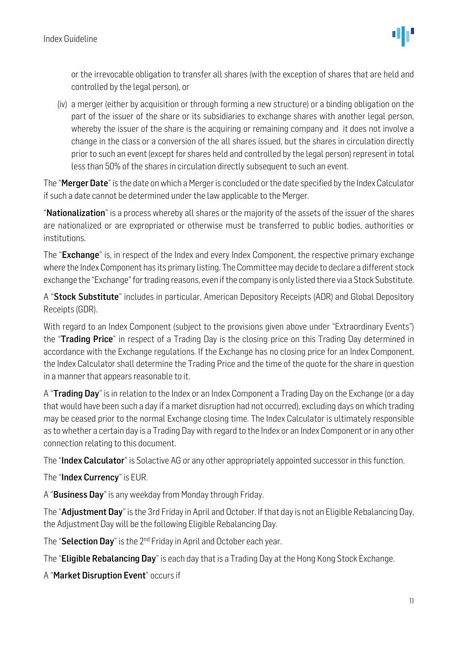or the irrevocable obligation to transfer all shares (with the exception of shares that are held and controlled by the legal person), or

(iv) a merger (either by acquisition or through forming a new structure) or a binding obligation on the part of the issuer of the share or its subsidiaries to exchange shares with another legal person, whereby the issuer of the share is the acquiring or remaining company and it does not involve a change in the class or a conversion of the all shares issued, but the shares in circulation directly prior to such an event (except for shares held and controlled by the legal person) represent in total less than 50% of the shares in circulation directly subsequent to such an event.

The "**Merger Date**" is the date on which a Merger is concluded or the date specified by the Index Calculator if such a date cannot be determined under the law applicable to the Merger.

"Nationalization" is a process whereby all shares or the majority of the assets of the issuer of the shares are nationalized or are expropriated or otherwise must be transferred to public bodies, authorities or institutions.

The "**Exchange**" is, in respect of the Index and every Index Component, the respective primary exchange where the Index Component has its primary listing. The Committee may decide to declare a different stock exchange the "Exchange" for trading reasons, even if the company is only listed there via a Stock Substitute.

A "Stock Substitute" includes in particular, American Depository Receipts (ADR) and Global Depository Receipts (GDR).

With regard to an Index Component (subject to the provisions given above under "Extraordinary Events") the "Trading Price" in respect of a Trading Day is the closing price on this Trading Day determined in accordance with the Exchange regulations. If the Exchange has no closing price for an Index Component, the Index Calculator shall determine the Trading Price and the time of the quote for the share in question in a manner that appears reasonable to it.

A "Trading Day" is in relation to the Index or an Index Component a Trading Day on the Exchange (or a day that would have been such a day if a market disruption had not occurred), excluding days on which trading may be ceased prior to the normal Exchange closing time. The Index Calculator is ultimately responsible as to whether a certain day is a Trading Day with regard to the Index or an Index Component or in any other connection relating to this document.

The "Index Calculator" is Solactive AG or any other appropriately appointed successor in this function.

The "Index Currency" is EUR.

A "Business Day" is any weekday from Monday through Friday.

The "**Adjustment Day**" is the 3rd Friday in April and October. If that day is not an Eligible Rebalancing Day, the Adjustment Day will be the following Eligible Rebalancing Day.

The "Selection Day" is the 2<sup>nd</sup> Friday in April and October each year.

The "**Eligible Rebalancing Day**" is each day that is a Trading Day at the Hong Kong Stock Exchange.

A "Market Disruption Event" occurs if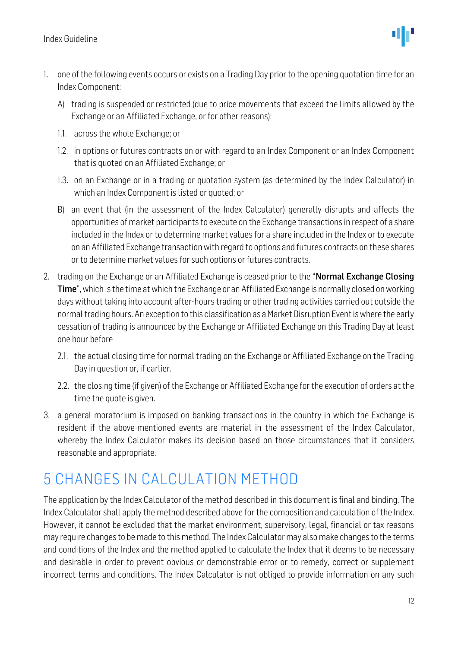

- 1. one of the following events occurs or exists on a Trading Day prior to the opening quotation time for an Index Component:
	- A) trading is suspended or restricted (due to price movements that exceed the limits allowed by the Exchange or an Affiliated Exchange, or for other reasons):
	- 1.1. across the whole Exchange; or
	- 1.2. in options or futures contracts on or with regard to an Index Component or an Index Component that is quoted on an Affiliated Exchange; or
	- 1.3. on an Exchange or in a trading or quotation system (as determined by the Index Calculator) in which an Index Component is listed or quoted; or
	- B) an event that (in the assessment of the Index Calculator) generally disrupts and affects the opportunities of market participants to execute on the Exchange transactions in respect of a share included in the Index or to determine market values for a share included in the Index or to execute on an Affiliated Exchange transaction with regard to options and futures contracts on these shares or to determine market values for such options or futures contracts.
- 2. trading on the Exchange or an Affiliated Exchange is ceased prior to the "Normal Exchange Closing Time", which is the time at which the Exchange or an Affiliated Exchange is normally closed on working days without taking into account after-hours trading or other trading activities carried out outside the normal trading hours. An exception to this classification as a Market Disruption Event is where the early cessation of trading is announced by the Exchange or Affiliated Exchange on this Trading Day at least one hour before
	- 2.1. the actual closing time for normal trading on the Exchange or Affiliated Exchange on the Trading Day in question or, if earlier.
	- 2.2. the closing time (if given) of the Exchange or Affiliated Exchange for the execution of orders at the time the quote is given.
- 3. a general moratorium is imposed on banking transactions in the country in which the Exchange is resident if the above-mentioned events are material in the assessment of the Index Calculator, whereby the Index Calculator makes its decision based on those circumstances that it considers reasonable and appropriate.

# <span id="page-12-0"></span>5 CHANGES IN CALCULATION METHOD

The application by the Index Calculator of the method described in this document is final and binding. The Index Calculator shall apply the method described above for the composition and calculation of the Index. However, it cannot be excluded that the market environment, supervisory, legal, financial or tax reasons may require changes to be made to this method. The Index Calculator may also make changes to the terms and conditions of the Index and the method applied to calculate the Index that it deems to be necessary and desirable in order to prevent obvious or demonstrable error or to remedy, correct or supplement incorrect terms and conditions. The Index Calculator is not obliged to provide information on any such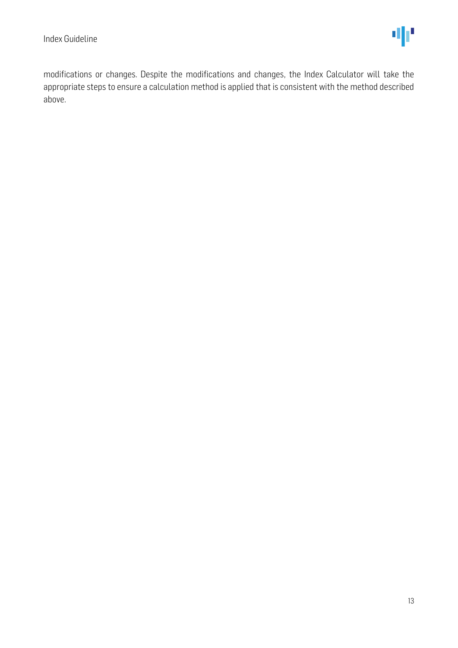modifications or changes. Despite the modifications and changes, the Index Calculator will take the appropriate steps to ensure a calculation method is applied that is consistent with the method described above.